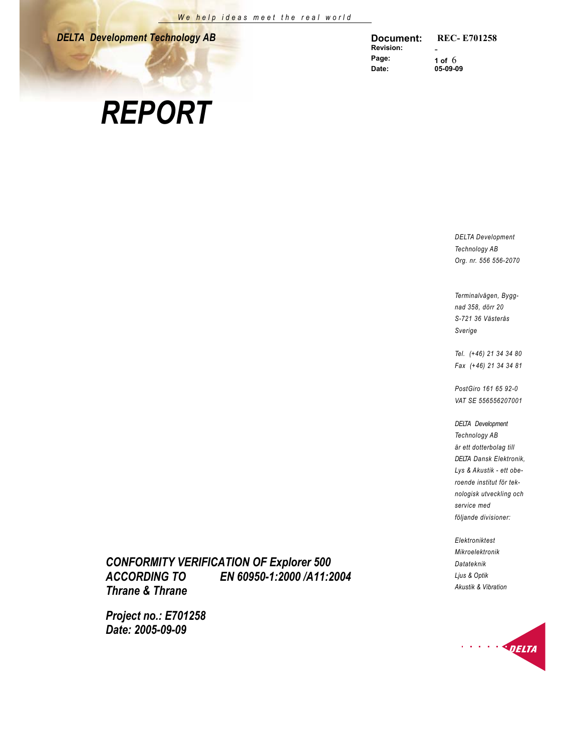*DELTA Development Technology AB* 

**Document: REC- E701258 Revision:**<br>Page: **Page:** 1 of 6<br>Date: 05-09-0 **Date: 05-09-09**

# *REPORT*

*DELTA Development Technology AB Org. nr. 556 556-2070* 

*Terminalv‰gen, Byggnad 358, dˆrr 20 S-721 36 V‰sterÂs Sverige* 

*Tel. (+46) 21 34 34 80 Fax (+46) 21 34 34 81* 

*PostGiro 161 65 92-0 VAT SE 556556207001* 

*DELTA Development Technology AB ‰r ett dotterbolag till DELTA Dansk Elektronik, Lys & Akustik - ett oberoende institut fˆr teknologisk utveckling och service med fˆljande divisioner:* 

*Elektroniktest Mikroelektronik Datateknik Ljus & Optik Akustik & Vibration*



*CONFORMITY VERIFICATION OF Explorer 500 ACCORDING TO EN 60950-1:2000 /A11:2004 Thrane & Thrane* 

*Project no.: E701258 Date: 2005-09-09*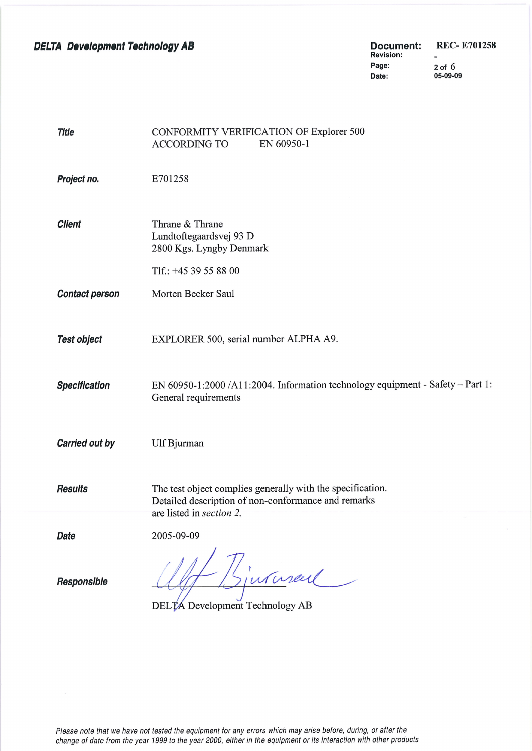**DELTA Development Technology AB** 

**REC-E701258 Document: Revision:**  $\sim$ Page: 05-09-09 Date:

 $2$  of  $6$ 

| <b>Title</b>          | CONFORMITY VERIFICATION OF Explorer 500<br><b>ACCORDING TO</b><br>EN 60950-1                                                                  |
|-----------------------|-----------------------------------------------------------------------------------------------------------------------------------------------|
| Project no.           | E701258                                                                                                                                       |
| <b>Client</b>         | Thrane & Thrane<br>Lundtoftegaardsvej 93 D<br>2800 Kgs. Lyngby Denmark                                                                        |
|                       | Tlf.: $+4539558800$                                                                                                                           |
| <b>Contact person</b> | Morten Becker Saul                                                                                                                            |
|                       |                                                                                                                                               |
| <b>Test object</b>    | EXPLORER 500, serial number ALPHA A9.                                                                                                         |
| <b>Specification</b>  | EN 60950-1:2000 /A11:2004. Information technology equipment - Safety - Part 1:<br>General requirements                                        |
| Carried out by        | Ulf Bjurman                                                                                                                                   |
| <b>Results</b>        | The test object complies generally with the specification.<br>Detailed description of non-conformance and remarks<br>are listed in section 2. |
| <b>Date</b>           | 2005-09-09                                                                                                                                    |
| <b>Responsible</b>    | 7<br>sjurnal<br>DELTA Development Technology AB                                                                                               |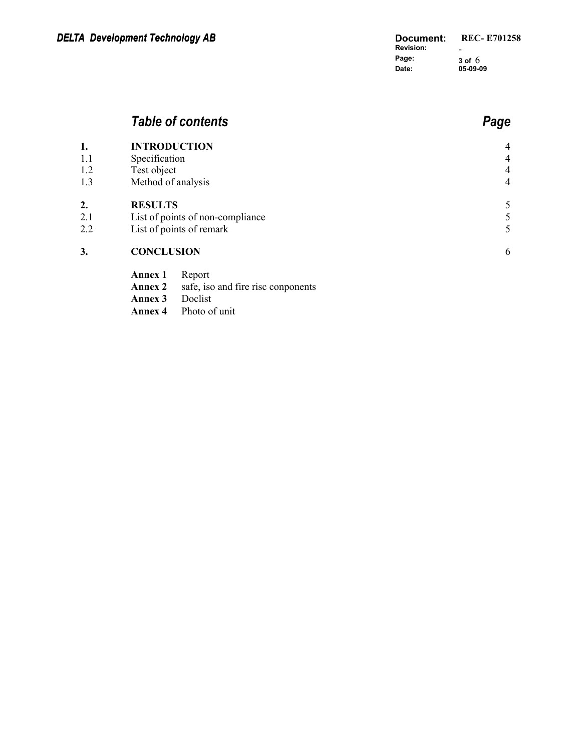## *Table of contents Page*

| 1.  | <b>INTRODUCTION</b>              |                                    | $\overline{4}$ |
|-----|----------------------------------|------------------------------------|----------------|
| 1.1 | Specification                    |                                    | $\overline{4}$ |
| 1.2 | Test object                      |                                    | $\overline{4}$ |
| 1.3 | Method of analysis               |                                    | $\overline{4}$ |
| 2.  | <b>RESULTS</b>                   |                                    | 5              |
| 2.1 | List of points of non-compliance |                                    | 5              |
| 2.2 |                                  | List of points of remark           | 5              |
| 3.  | <b>CONCLUSION</b>                |                                    | 6              |
|     | <b>Annex 1</b>                   | Report                             |                |
|     | <b>Annex 2</b>                   | safe, iso and fire risc conponents |                |
|     | Annex 3                          | Doclist                            |                |
|     | Annex 4                          | Photo of unit                      |                |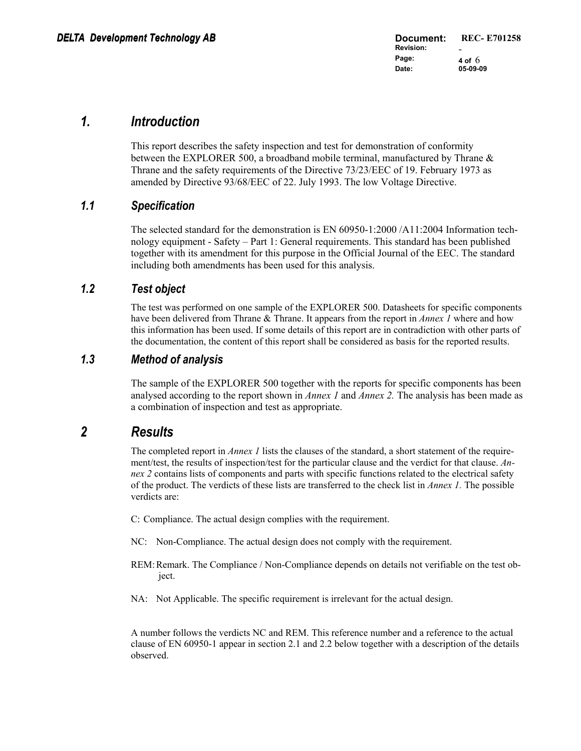## *1. Introduction*

This report describes the safety inspection and test for demonstration of conformity between the EXPLORER 500, a broadband mobile terminal, manufactured by Thrane & Thrane and the safety requirements of the Directive 73/23/EEC of 19. February 1973 as amended by Directive 93/68/EEC of 22. July 1993. The low Voltage Directive.

### *1.1 Specification*

The selected standard for the demonstration is EN 60950-1:2000 /A11:2004 Information technology equipment - Safety – Part 1: General requirements. This standard has been published together with its amendment for this purpose in the Official Journal of the EEC. The standard including both amendments has been used for this analysis.

### *1.2 Test object*

The test was performed on one sample of the EXPLORER 500. Datasheets for specific components have been delivered from Thrane & Thrane. It appears from the report in *Annex 1* where and how this information has been used. If some details of this report are in contradiction with other parts of the documentation, the content of this report shall be considered as basis for the reported results.

#### *1.3 Method of analysis*

The sample of the EXPLORER 500 together with the reports for specific components has been analysed according to the report shown in *Annex 1* and *Annex 2.* The analysis has been made as a combination of inspection and test as appropriate.

## *2 Results*

The completed report in *Annex 1* lists the clauses of the standard, a short statement of the requirement/test, the results of inspection/test for the particular clause and the verdict for that clause. *Annex 2* contains lists of components and parts with specific functions related to the electrical safety of the product. The verdicts of these lists are transferred to the check list in *Annex 1.* The possible verdicts are:

C: Compliance. The actual design complies with the requirement.

- NC: Non-Compliance. The actual design does not comply with the requirement.
- REM: Remark. The Compliance / Non-Compliance depends on details not verifiable on the test object.

NA: Not Applicable. The specific requirement is irrelevant for the actual design.

A number follows the verdicts NC and REM. This reference number and a reference to the actual clause of EN 60950-1 appear in section 2.1 and 2.2 below together with a description of the details observed.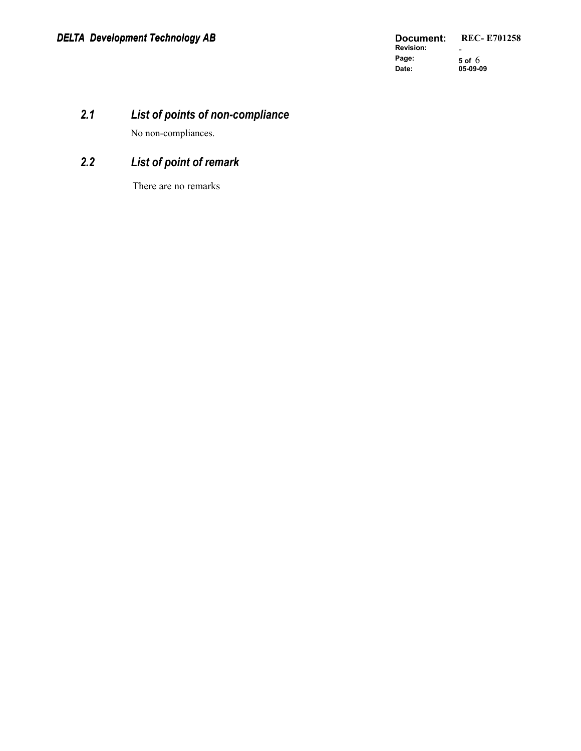## *2.1 List of points of non-compliance*

No non-compliances.

## *2.2 List of point of r emark*

There are no remarks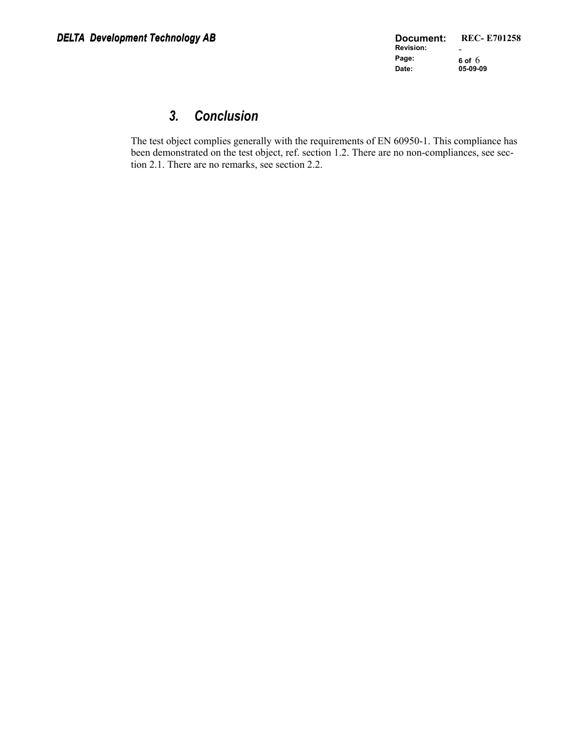## *3. Conclusion*

The test object complies generally with the requirements of EN 60950-1. This compliance has been demonstrated on the test object, ref. section 1.2. There are no non-compliances, see section 2.1. There are no remarks, see section 2.2.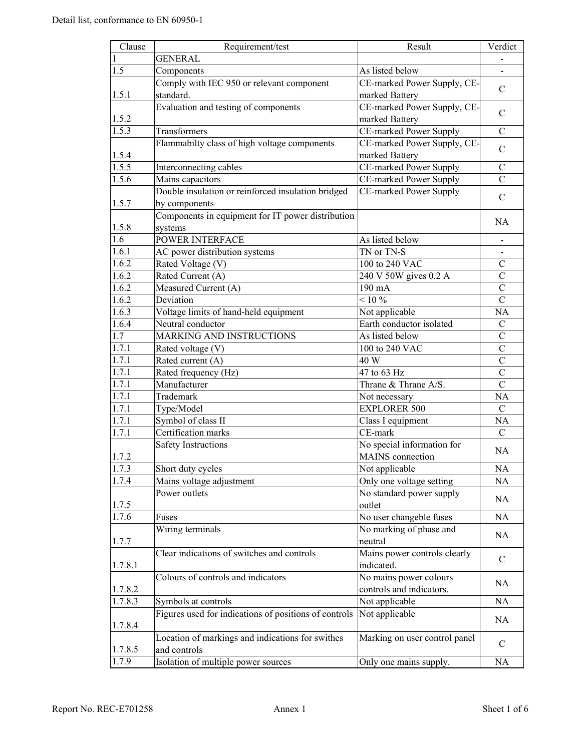| Clause           | Requirement/test                                      | Result                        | Verdict        |
|------------------|-------------------------------------------------------|-------------------------------|----------------|
| $\mathbf{1}$     | <b>GENERAL</b>                                        |                               |                |
| 1.5              | Components                                            | As listed below               |                |
|                  | Comply with IEC 950 or relevant component             | CE-marked Power Supply, CE-   |                |
| 1.5.1            | standard.                                             | marked Battery                | C              |
|                  | Evaluation and testing of components                  | CE-marked Power Supply, CE-   |                |
| 1.5.2            |                                                       | marked Battery                | $\mathcal{C}$  |
| 1.5.3            | Transformers                                          | CE-marked Power Supply        | $\mathcal{C}$  |
|                  | Flammabilty class of high voltage components          | CE-marked Power Supply, CE-   |                |
| 1.5.4            |                                                       | marked Battery                | $\mathcal{C}$  |
| 1.5.5            | Interconnecting cables                                | CE-marked Power Supply        | $\mathcal{C}$  |
| 1.5.6            | Mains capacitors                                      | CE-marked Power Supply        | $\overline{C}$ |
|                  | Double insulation or reinforced insulation bridged    | CE-marked Power Supply        |                |
| 1.5.7            | by components                                         |                               | $\mathcal{C}$  |
|                  | Components in equipment for IT power distribution     |                               |                |
| 1.5.8            | systems                                               |                               | <b>NA</b>      |
| 1.6              | POWER INTERFACE                                       | As listed below               |                |
| 1.6.1            | AC power distribution systems                         | TN or TN-S                    |                |
| 1.6.2            | Rated Voltage (V)                                     | 100 to 240 VAC                | $\mathcal{C}$  |
| 1.6.2            | Rated Current (A)                                     | 240 V 50W gives 0.2 A         | $\overline{C}$ |
| 1.6.2            | Measured Current (A)                                  | 190 mA                        | $\mathcal{C}$  |
| 1.6.2            | Deviation                                             | $< 10\%$                      | $\overline{C}$ |
| 1.6.3            |                                                       |                               |                |
| 1.6.4            | Voltage limits of hand-held equipment                 | Not applicable                | NA             |
| $\overline{1.7}$ | Neutral conductor                                     | Earth conductor isolated      | $\mathcal{C}$  |
|                  | MARKING AND INSTRUCTIONS                              | As listed below               | $\mathcal{C}$  |
| 1.7.1            | Rated voltage (V)                                     | 100 to 240 VAC                | $\mathcal{C}$  |
| 1.7.1            | Rated current (A)                                     | 40 W                          | $\mathcal{C}$  |
| 1.7.1            | Rated frequency (Hz)                                  | 47 to 63 Hz                   | $\mathcal{C}$  |
| 1.7.1            | Manufacturer                                          | Thrane & Thrane A/S.          | $\overline{C}$ |
| 1.7.1            | Trademark                                             | Not necessary                 | NA             |
| 1.7.1            | Type/Model                                            | <b>EXPLORER 500</b>           | $\mathcal{C}$  |
| 1.7.1            | Symbol of class II                                    | Class I equipment             | NA             |
| 1.7.1            | Certification marks                                   | CE-mark                       | $\mathcal{C}$  |
|                  | <b>Safety Instructions</b>                            | No special information for    | <b>NA</b>      |
| 1.7.2            |                                                       | MAINS connection              |                |
| 1.7.3            | Short duty cycles                                     | Not applicable                | NA             |
| 1.7.4            | Mains voltage adjustment                              | Only one voltage setting      | NA             |
|                  | Power outlets                                         | No standard power supply      | NA             |
| 1.7.5            |                                                       | outlet                        |                |
| 1.7.6            | Fuses                                                 | No user changeble fuses       | <b>NA</b>      |
|                  | Wiring terminals                                      | No marking of phase and       | NA             |
| 1.7.7            |                                                       | neutral                       |                |
|                  | Clear indications of switches and controls            | Mains power controls clearly  |                |
| 1.7.8.1          |                                                       | indicated.                    | $\mathsf{C}$   |
|                  | Colours of controls and indicators                    | No mains power colours        |                |
| 1.7.8.2          |                                                       | controls and indicators.      | <b>NA</b>      |
| 1.7.8.3          | Symbols at controls                                   | Not applicable                | <b>NA</b>      |
|                  | Figures used for indications of positions of controls | Not applicable                |                |
| 1.7.8.4          |                                                       |                               | NA             |
|                  | Location of markings and indications for swithes      | Marking on user control panel |                |
| 1.7.8.5          | and controls                                          |                               | $\mathsf{C}$   |
| 1.7.9            | Isolation of multiple power sources                   | Only one mains supply.        | <b>NA</b>      |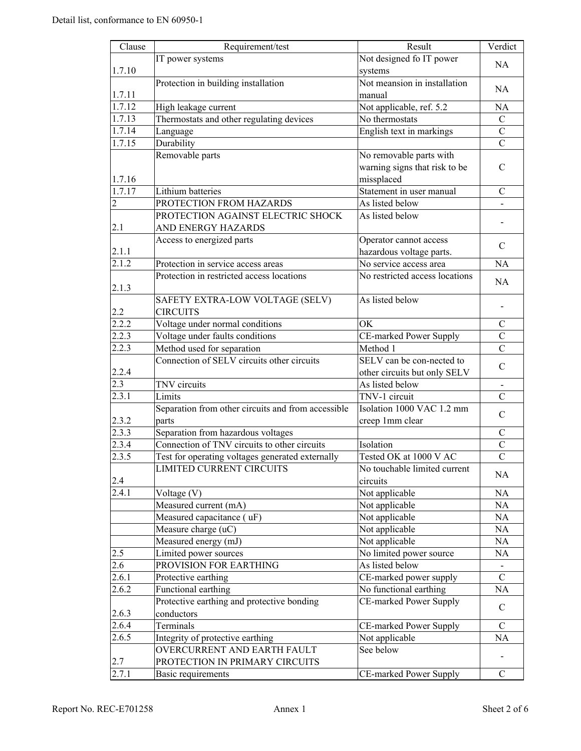| Clause             | Requirement/test                                                | Result                         | Verdict        |
|--------------------|-----------------------------------------------------------------|--------------------------------|----------------|
|                    | IT power systems                                                | Not designed fo IT power       |                |
| 1.7.10             |                                                                 | systems                        | NA             |
|                    | Protection in building installation                             | Not meansion in installation   |                |
| 1.7.11             |                                                                 | manual                         | NA             |
| 1.7.12             | High leakage current                                            | Not applicable, ref. 5.2       | NA             |
| 1.7.13             | Thermostats and other regulating devices                        | No thermostats                 | $\mathcal{C}$  |
| 1.7.14             | Language                                                        | English text in markings       | $\mathcal{C}$  |
| 1.7.15             | Durability                                                      |                                | $\overline{C}$ |
|                    | Removable parts                                                 | No removable parts with        |                |
|                    |                                                                 | warning signs that risk to be  | $\mathcal{C}$  |
| 1.7.16             |                                                                 | missplaced                     |                |
| 1.7.17             | Lithium batteries                                               | Statement in user manual       | $\mathcal{C}$  |
| 2                  | PROTECTION FROM HAZARDS                                         | As listed below                |                |
|                    | PROTECTION AGAINST ELECTRIC SHOCK                               | As listed below                |                |
| 2.1                | AND ENERGY HAZARDS                                              |                                |                |
|                    | Access to energized parts                                       | Operator cannot access         |                |
| 2.1.1              |                                                                 | hazardous voltage parts.       | C              |
| $\overline{2}.1.2$ | Protection in service access areas                              | No service access area         | <b>NA</b>      |
|                    | Protection in restricted access locations                       | No restricted access locations |                |
| 2.1.3              |                                                                 |                                | <b>NA</b>      |
|                    | SAFETY EXTRA-LOW VOLTAGE (SELV)                                 | As listed below                |                |
| 2.2                | <b>CIRCUITS</b>                                                 |                                |                |
| 2.2.2              | Voltage under normal conditions                                 | OK                             | $\mathcal{C}$  |
| 2.2.3              | Voltage under faults conditions                                 | CE-marked Power Supply         | $\mathcal{C}$  |
| 2.2.3              | Method used for separation                                      | Method 1                       | $\overline{C}$ |
|                    | Connection of SELV circuits other circuits                      | SELV can be con-nected to      |                |
| 2.2.4              |                                                                 | other circuits but only SELV   | $\mathcal{C}$  |
| 2.3                | TNV circuits                                                    | As listed below                |                |
| 2.3.1              | Limits                                                          | TNV-1 circuit                  | $\overline{C}$ |
|                    | Separation from other circuits and from accessible              | Isolation 1000 VAC 1.2 mm      |                |
| 2.3.2              | parts                                                           | creep 1mm clear                | C              |
| 2.3.3              | Separation from hazardous voltages                              |                                | C              |
| 2.3.4              | Connection of TNV circuits to other circuits                    | Isolation                      | $\mathcal{C}$  |
| 2.3.5              | Test for operating voltages generated externally                | Tested OK at 1000 V AC         | $\overline{C}$ |
|                    | LIMITED CURRENT CIRCUITS                                        | No touchable limited current   |                |
| 2.4                |                                                                 | circuits                       | NA             |
| 2.4.1              | Voltage (V)                                                     | Not applicable                 | NA             |
|                    | Measured current (mA)                                           | Not applicable                 | NA             |
|                    | Measured capacitance (uF)                                       | Not applicable                 | NA             |
|                    | Measure charge (uC)                                             | Not applicable                 | NA             |
|                    | Measured energy (mJ)                                            | Not applicable                 | $\rm NA$       |
| 2.5                | Limited power sources                                           | No limited power source        | $\rm NA$       |
| 2.6                | PROVISION FOR EARTHING                                          | As listed below                |                |
| 2.6.1              | Protective earthing                                             | CE-marked power supply         | $\mathbf C$    |
| 2.6.2              | Functional earthing                                             | No functional earthing         | NA             |
|                    | Protective earthing and protective bonding                      | CE-marked Power Supply         |                |
| 2.6.3              | conductors                                                      |                                | $\mathcal{C}$  |
|                    |                                                                 |                                |                |
| 2.6.4              | Terminals                                                       | CE-marked Power Supply         | $\mathsf{C}$   |
| 2.6.5              | Integrity of protective earthing<br>OVERCURRENT AND EARTH FAULT | Not applicable<br>See below    | NA             |
|                    |                                                                 |                                |                |
| 2.7                | PROTECTION IN PRIMARY CIRCUITS                                  |                                |                |
| 2.7.1              | Basic requirements                                              | CE-marked Power Supply         | $\mathcal{C}$  |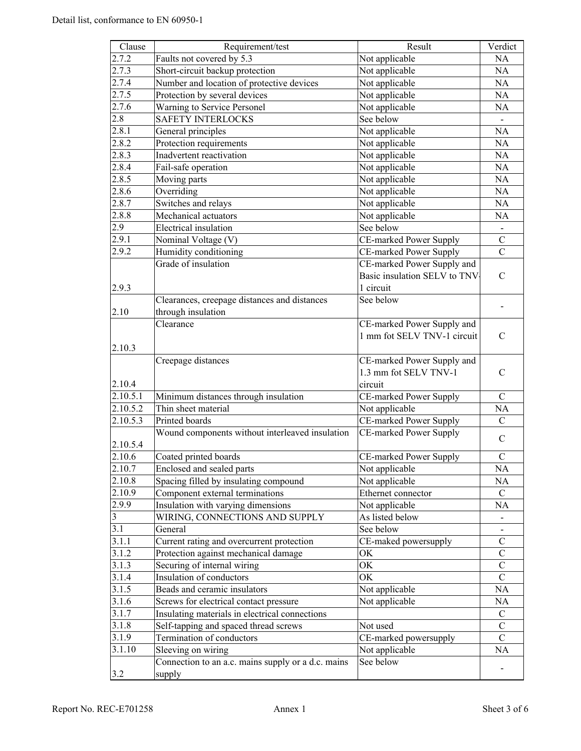| Clause             | Requirement/test                                   | Result                       | Verdict                      |
|--------------------|----------------------------------------------------|------------------------------|------------------------------|
| 2.7.2              | Faults not covered by 5.3                          | Not applicable               | NA                           |
| 2.7.3              | Short-circuit backup protection                    | Not applicable               | NA                           |
| 2.7.4              | Number and location of protective devices          | Not applicable               | NA                           |
| 2.7.5              | Protection by several devices                      | Not applicable               | NA                           |
| 2.7.6              | Warning to Service Personel                        | Not applicable               | NA                           |
| 2.8                | <b>SAFETY INTERLOCKS</b>                           | See below                    |                              |
| 2.8.1              | General principles                                 | Not applicable               | NA                           |
| 2.8.2              | Protection requirements                            | Not applicable               | $\rm NA$                     |
| 2.8.3              | Inadvertent reactivation                           | Not applicable               | NA                           |
| 2.8.4              | Fail-safe operation                                | Not applicable               | NA                           |
| 2.8.5              | Moving parts                                       | Not applicable               | NA                           |
| 2.8.6              | Overriding                                         | Not applicable               | NA                           |
| $2.8.\overline{7}$ | Switches and relays                                | Not applicable               | NA                           |
| 2.8.8              | Mechanical actuators                               | Not applicable               | <b>NA</b>                    |
| 2.9                | Electrical insulation                              | See below                    | $\blacksquare$               |
| 2.9.1              | Nominal Voltage (V)                                | CE-marked Power Supply       | $\mathbf C$                  |
| 2.9.2              | Humidity conditioning                              | CE-marked Power Supply       | $\overline{C}$               |
|                    | Grade of insulation                                | CE-marked Power Supply and   |                              |
|                    |                                                    | Basic insulation SELV to TNV | $\mathcal{C}$                |
| 2.9.3              |                                                    | 1 circuit                    |                              |
|                    | Clearances, creepage distances and distances       | See below                    |                              |
| 2.10               | through insulation                                 |                              |                              |
|                    | Clearance                                          | CE-marked Power Supply and   |                              |
|                    |                                                    | 1 mm fot SELV TNV-1 circuit  | $\mathcal{C}$                |
| 2.10.3             |                                                    |                              |                              |
|                    | Creepage distances                                 | CE-marked Power Supply and   |                              |
|                    |                                                    | 1.3 mm fot SELV TNV-1        | $\mathcal{C}$                |
| 2.10.4             |                                                    | circuit                      |                              |
| 2.10.5.1           | Minimum distances through insulation               | CE-marked Power Supply       | $\mathcal{C}$                |
| 2.10.5.2           | Thin sheet material                                | Not applicable               | NA                           |
| 2.10.5.3           | Printed boards                                     | CE-marked Power Supply       | $\mathcal{C}$                |
|                    | Wound components without interleaved insulation    | CE-marked Power Supply       |                              |
| 2.10.5.4           |                                                    |                              | $\mathcal{C}$                |
| 2.10.6             | Coated printed boards                              | CE-marked Power Supply       | $\mathcal{C}$                |
| 2.10.7             | Enclosed and sealed parts                          | Not applicable               | NA                           |
| 2.10.8             | Spacing filled by insulating compound              | Not applicable               | NA                           |
| 2.10.9             | Component external terminations                    | Ethernet connector           | $\mathbf C$                  |
| 2.9.9              | Insulation with varying dimensions                 | Not applicable               | NA                           |
| 3                  | WIRING, CONNECTIONS AND SUPPLY                     | As listed below              |                              |
| 3.1                | General                                            | See below                    | $\qquad \qquad \blacksquare$ |
| 3.1.1              | Current rating and overcurrent protection          | CE-maked powersupply         | C                            |
| 3.1.2              | Protection against mechanical damage               | OK                           | $\mathcal{C}$                |
| 3.1.3              | Securing of internal wiring                        | OK                           | $\mathcal{C}$                |
| 3.1.4              | Insulation of conductors                           | OK                           | $\mathcal{C}$                |
| 3.1.5              | Beads and ceramic insulators                       | Not applicable               | $\rm NA$                     |
| 3.1.6              | Screws for electrical contact pressure             | Not applicable               | NA                           |
| 3.1.7              | Insulating materials in electrical connections     |                              | $\mathcal{C}$                |
| 3.1.8              | Self-tapping and spaced thread screws              | Not used                     | $\mathcal{C}$                |
| 3.1.9              | Termination of conductors                          | CE-marked powersupply        | $\mathsf{C}$                 |
| 3.1.10             | Sleeving on wiring                                 | Not applicable               | NA                           |
|                    | Connection to an a.c. mains supply or a d.c. mains | See below                    |                              |
| 3.2                | supply                                             |                              |                              |
|                    |                                                    |                              |                              |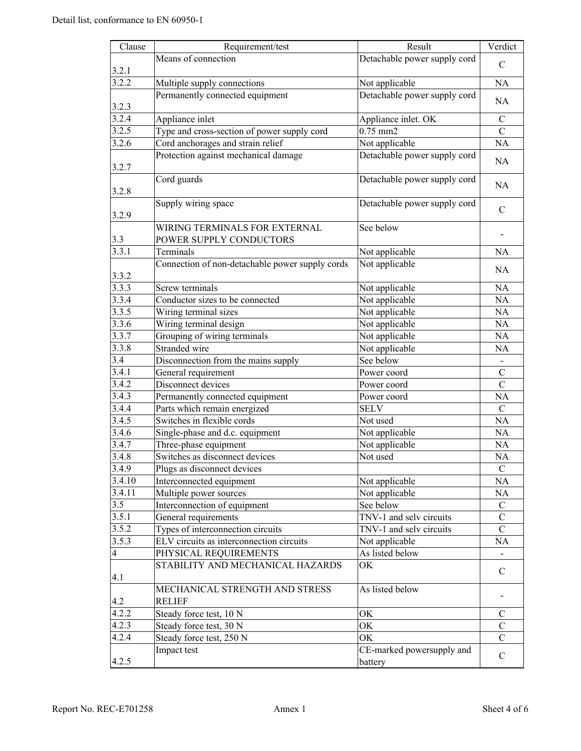| Clause         | Requirement/test                                | Result                       | Verdict        |
|----------------|-------------------------------------------------|------------------------------|----------------|
|                | Means of connection                             | Detachable power supply cord |                |
| 3.2.1          |                                                 |                              | $\mathcal{C}$  |
| 3.2.2          | Multiple supply connections                     | Not applicable               | NA             |
|                | Permanently connected equipment                 | Detachable power supply cord |                |
| 3.2.3          |                                                 |                              | NA             |
| 3.2.4          | Appliance inlet                                 | Appliance inlet. OK          | $\mathcal{C}$  |
| 3.2.5          | Type and cross-section of power supply cord     | $0.75$ mm $2$                | $\overline{C}$ |
| 3.2.6          | Cord anchorages and strain relief               | Not applicable               | NA             |
|                | Protection against mechanical damage            | Detachable power supply cord |                |
| 3.2.7          |                                                 |                              | NA             |
|                | Cord guards                                     | Detachable power supply cord |                |
| 3.2.8          |                                                 |                              | NA             |
|                | Supply wiring space                             | Detachable power supply cord |                |
| 3.2.9          |                                                 |                              | $\mathcal{C}$  |
|                | WIRING TERMINALS FOR EXTERNAL                   | See below                    |                |
| 3.3            | POWER SUPPLY CONDUCTORS                         |                              |                |
| 3.3.1          | Terminals                                       | Not applicable               | <b>NA</b>      |
|                | Connection of non-detachable power supply cords | Not applicable               |                |
| 3.3.2          |                                                 |                              | NA             |
| 3.3.3          | Screw terminals                                 | Not applicable               | NA             |
| 3.3.4          | Conductor sizes to be connected                 | Not applicable               | NA             |
| 3.3.5          | Wiring terminal sizes                           | Not applicable               | NA             |
| 3.3.6          | Wiring terminal design                          | Not applicable               | NA             |
| 3.3.7          | Grouping of wiring terminals                    | Not applicable               | NA             |
| 3.3.8          | Stranded wire                                   | Not applicable               | <b>NA</b>      |
| 3.4            | Disconnection from the mains supply             | See below                    |                |
| 3.4.1          | General requirement                             | Power coord                  | $\mathcal{C}$  |
| 3.4.2          | Disconnect devices                              | Power coord                  | $\overline{C}$ |
| 3.4.3          | Permanently connected equipment                 | Power coord                  | NA             |
| 3.4.4          | Parts which remain energized                    | <b>SELV</b>                  | $\mathcal{C}$  |
| 3.4.5          | Switches in flexible cords                      | Not used                     | NA             |
| 3.4.6          | Single-phase and d.c. equipment                 | Not applicable               | NA             |
| 3.4.7          | Three-phase equipment                           | Not applicable               | NA             |
| 3.4.8          | Switches as disconnect devices                  | Not used                     | NA             |
| 3.4.9          | Plugs as disconnect devices                     |                              | $\mathcal{C}$  |
| 3.4.10         | Interconnected equipment                        | Not applicable               | NA             |
| 3.4.11         | Multiple power sources                          | Not applicable               | NA             |
| 3.5            | Interconnection of equipment                    | See below                    | $\mathbf C$    |
| 3.5.1          | General requirements                            | TNV-1 and selv circuits      | $\mathcal{C}$  |
| 3.5.2          | Types of interconnection circuits               | TNV-1 and selv circuits      | $\mathsf{C}$   |
| 3.5.3          | ELV circuits as interconnection circuits        | Not applicable               | NA             |
| $\overline{4}$ | PHYSICAL REQUIREMENTS                           | As listed below              |                |
|                | STABILITY AND MECHANICAL HAZARDS                | OK                           |                |
| 4.1            |                                                 |                              | $\mathsf{C}$   |
|                | MECHANICAL STRENGTH AND STRESS                  | As listed below              |                |
| 4.2            | <b>RELIEF</b>                                   |                              |                |
| 4.2.2          | Steady force test, 10 N                         | OK                           | C              |
| 4.2.3          | Steady force test, 30 N                         | OK                           | $\mathcal{C}$  |
| 4.2.4          | Steady force test, 250 N                        | OK                           | $\mathcal{C}$  |
|                | Impact test                                     | CE-marked powersupply and    |                |
| 4.2.5          |                                                 | battery                      | $\mathcal{C}$  |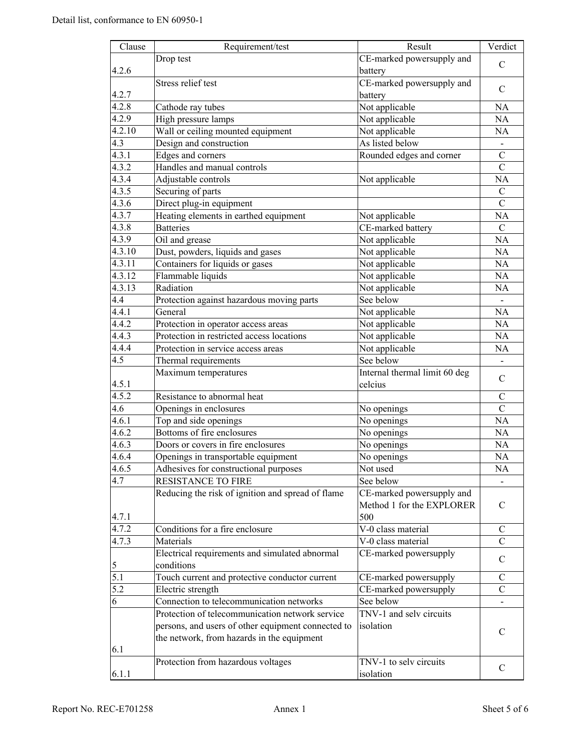| $\overline{\text{Cla} }$ use | Requirement/test                                   | Result                        | Verdict        |
|------------------------------|----------------------------------------------------|-------------------------------|----------------|
|                              | Drop test                                          | CE-marked powersupply and     |                |
| 4.2.6                        |                                                    | battery                       | $\mathcal{C}$  |
|                              | Stress relief test                                 | CE-marked powersupply and     |                |
| 4.2.7                        |                                                    | battery                       | C              |
| 4.2.8                        | Cathode ray tubes                                  | Not applicable                | NA             |
| 4.2.9                        | High pressure lamps                                | Not applicable                | NA             |
| 4.2.10                       | Wall or ceiling mounted equipment                  | Not applicable                | NA             |
| 4.3                          | Design and construction                            | As listed below               |                |
| 4.3.1                        | Edges and corners                                  | Rounded edges and corner      | $\overline{C}$ |
| 4.3.2                        | Handles and manual controls                        |                               | $\mathcal{C}$  |
| 4.3.4                        | Adjustable controls                                | Not applicable                | NA             |
| 4.3.5                        | Securing of parts                                  |                               | $\mathbf C$    |
| 4.3.6                        | Direct plug-in equipment                           |                               | $\mathcal{C}$  |
| 4.3.7                        | Heating elements in earthed equipment              | Not applicable                | NA             |
| 4.3.8                        | <b>Batteries</b>                                   | CE-marked battery             | $\mathcal{C}$  |
| 4.3.9                        | Oil and grease                                     | Not applicable                | NA             |
| $\overline{4.3.10}$          | Dust, powders, liquids and gases                   | Not applicable                | NA             |
| 4.3.11                       | Containers for liquids or gases                    | Not applicable                | NA             |
| 4.3.12                       | Flammable liquids                                  | Not applicable                | NA             |
| 4.3.13                       | Radiation                                          | Not applicable                | NA             |
| 4.4                          | Protection against hazardous moving parts          | See below                     |                |
| 4.4.1                        | General                                            | Not applicable                | NA             |
| 4.4.2                        | Protection in operator access areas                | Not applicable                | NA             |
| 4.4.3                        | Protection in restricted access locations          | Not applicable                | NA             |
| 4.4.4                        | Protection in service access areas                 | Not applicable                | NA             |
| 4.5                          | Thermal requirements                               | See below                     |                |
|                              | Maximum temperatures                               | Internal thermal limit 60 deg |                |
| 4.5.1                        |                                                    | celcius                       | $\mathcal{C}$  |
| 4.5.2                        | Resistance to abnormal heat                        |                               | $\mathcal{C}$  |
| 4.6                          | Openings in enclosures                             | No openings                   | $\mathcal{C}$  |
| 4.6.1                        | Top and side openings                              | No openings                   | NA             |
| 4.6.2                        | Bottoms of fire enclosures                         | No openings                   | NA             |
| 4.6.3                        | Doors or covers in fire enclosures                 | No openings                   | NA             |
| 4.6.4                        | Openings in transportable equipment                | No openings                   | <b>NA</b>      |
| 4.6.5                        | Adhesives for constructional purposes              | Not used                      | NA             |
| 4.7                          | RESISTANCE TO FIRE                                 | See below                     |                |
|                              | Reducing the risk of ignition and spread of flame  | CE-marked powersupply and     |                |
|                              |                                                    | Method 1 for the EXPLORER     | C              |
| 4.7.1                        |                                                    | 500                           |                |
| 4.7.2                        | Conditions for a fire enclosure                    | V-0 class material            | C              |
| 4.7.3                        | Materials                                          | V-0 class material            | $\mathsf{C}$   |
|                              | Electrical requirements and simulated abnormal     | CE-marked powersupply         |                |
| 5                            | conditions                                         |                               | C              |
| 5.1                          | Touch current and protective conductor current     | CE-marked powersupply         | C              |
| 5.2                          | Electric strength                                  | CE-marked powersupply         | $\mathbf C$    |
| 6                            | Connection to telecommunication networks           | See below                     |                |
|                              | Protection of telecommunication network service    | TNV-1 and selv circuits       |                |
|                              | persons, and users of other equipment connected to | isolation                     |                |
|                              | the network, from hazards in the equipment         |                               | C              |
| 6.1                          |                                                    |                               |                |
|                              | Protection from hazardous voltages                 | TNV-1 to selv circuits        |                |
| 6.1.1                        |                                                    | isolation                     | $\mathbf C$    |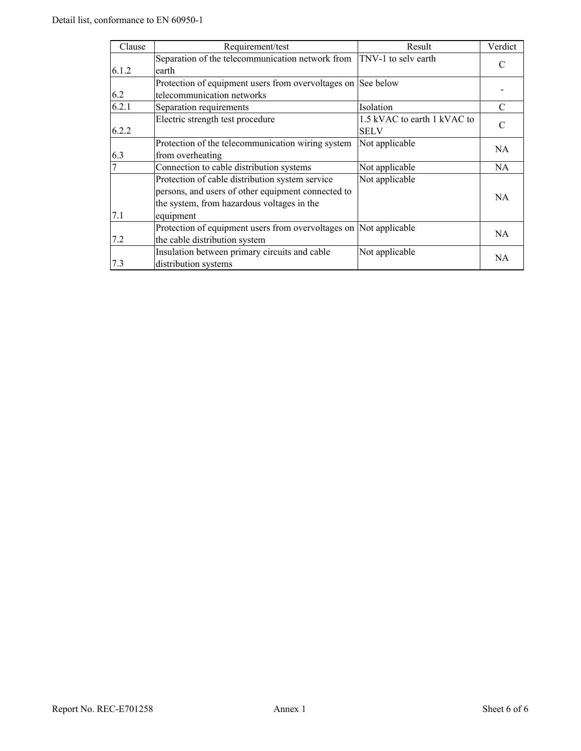| Clause | Requirement/test                                                                                                                                                 | Result                                     | Verdict   |
|--------|------------------------------------------------------------------------------------------------------------------------------------------------------------------|--------------------------------------------|-----------|
| 6.1.2  | Separation of the telecommunication network from TNV-1 to selv earth<br>earth                                                                                    |                                            | C         |
| 6.2    | Protection of equipment users from overvoltages on See below<br>telecommunication networks                                                                       |                                            |           |
| 6.2.1  | Separation requirements                                                                                                                                          | Isolation                                  | C         |
| 6.2.2  | Electric strength test procedure                                                                                                                                 | 1.5 kVAC to earth 1 kVAC to<br><b>SELV</b> | C         |
| 6.3    | Protection of the telecommunication wiring system<br>from overheating                                                                                            | Not applicable                             | <b>NA</b> |
|        | Connection to cable distribution systems                                                                                                                         | Not applicable                             | NA.       |
| 7.1    | Protection of cable distribution system service<br>persons, and users of other equipment connected to<br>the system, from hazardous voltages in the<br>equipment | Not applicable                             | <b>NA</b> |
| 7.2    | Protection of equipment users from overvoltages on Not applicable<br>the cable distribution system                                                               |                                            | NA.       |
| 7.3    | Insulation between primary circuits and cable<br>distribution systems                                                                                            | Not applicable                             | NA        |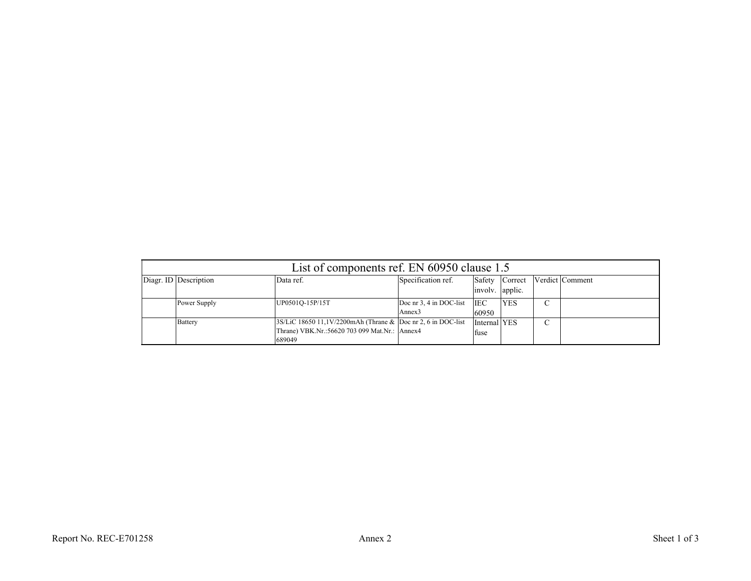| List of components ref. EN 60950 clause 1.5 |                                                                                                                         |                                               |                      |                |  |                 |
|---------------------------------------------|-------------------------------------------------------------------------------------------------------------------------|-----------------------------------------------|----------------------|----------------|--|-----------------|
| Diagr. ID Description                       | Data ref.                                                                                                               | Specification ref.                            | involv. applic.      | Safety Correct |  | Verdict Comment |
| Power Supply                                | UP0501Q-15P/15T                                                                                                         | Doc nr 3, 4 in DOC-list<br>Annex <sub>3</sub> | <b>IEC</b><br>60950  | <b>YES</b>     |  |                 |
| Battery                                     | 3S/LiC 18650 11,1V/2200mAh (Thrane & Doc nr 2, 6 in DOC-list<br>Thrane) VBK.Nr.:56620 703 099 Mat.Nr.: Annex4<br>689049 |                                               | Internal YES<br>fuse |                |  |                 |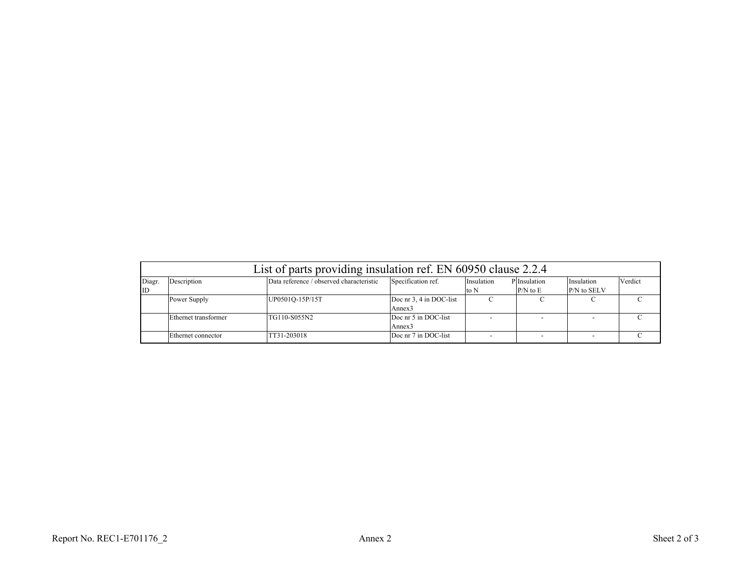|        | List of parts providing insulation ref. EN 60950 clause 2.2.4                                                                        |                 |                         |      |              |             |  |
|--------|--------------------------------------------------------------------------------------------------------------------------------------|-----------------|-------------------------|------|--------------|-------------|--|
| Diagr. | Data reference / observed characteristic<br>Specification ref.<br>Description<br>P Insulation<br>Verdict<br>Insulation<br>Insulation |                 |                         |      |              |             |  |
| ID     |                                                                                                                                      |                 |                         | to N | $P/N$ to $E$ | P/N to SELV |  |
|        | Power Supply                                                                                                                         | UP0501Q-15P/15T | Doc nr 3, 4 in DOC-list |      |              |             |  |
|        |                                                                                                                                      |                 | Annex <sub>3</sub>      |      |              |             |  |
|        | Ethernet transformer                                                                                                                 | TG110-S055N2    | Doc nr 5 in DOC-list    |      |              |             |  |
|        |                                                                                                                                      |                 | Annex3                  |      |              |             |  |
|        | Ethernet connector                                                                                                                   | TT31-203018     | Doc nr 7 in DOC-list    |      |              |             |  |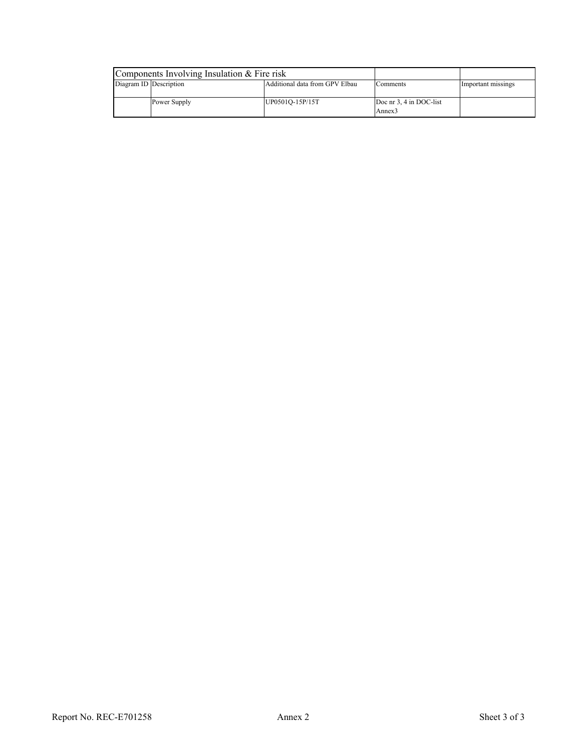|                        | Components Involving Insulation & Fire risk |                                |                         |                    |
|------------------------|---------------------------------------------|--------------------------------|-------------------------|--------------------|
| Diagram ID Description |                                             | Additional data from GPV Elbau | Comments                | Important missings |
|                        |                                             |                                |                         |                    |
|                        | Power Supply                                | UP0501Q-15P/15T                | Doc nr 3, 4 in DOC-list |                    |
|                        |                                             |                                | Annex <sub>3</sub>      |                    |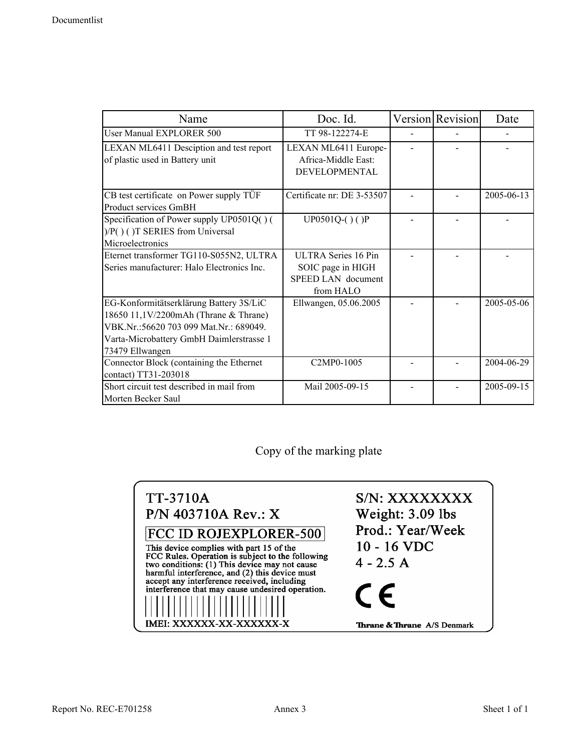| Name                                                                                                                                                                                      | Doc. Id.                                                                           | <b>Version</b> Revision | Date       |
|-------------------------------------------------------------------------------------------------------------------------------------------------------------------------------------------|------------------------------------------------------------------------------------|-------------------------|------------|
| User Manual EXPLORER 500                                                                                                                                                                  | TT 98-122274-E                                                                     |                         |            |
| LEXAN ML6411 Desciption and test report<br>of plastic used in Battery unit                                                                                                                | LEXAN ML6411 Europe-<br>Africa-Middle East:<br><b>DEVELOPMENTAL</b>                |                         |            |
| CB test certificate on Power supply TÜF<br>Product services GmBH                                                                                                                          | Certificate nr: DE 3-53507                                                         |                         | 2005-06-13 |
| Specification of Power supply UP0501Q() (<br>)/P()()T SERIES from Universal<br>Microelectronics                                                                                           | $UP0501Q-()$ ()P                                                                   |                         |            |
| Eternet transformer TG110-S055N2, ULTRA<br>Series manufacturer: Halo Electronics Inc.                                                                                                     | <b>ULTRA Series 16 Pin</b><br>SOIC page in HIGH<br>SPEED LAN document<br>from HALO |                         |            |
| EG-Konformitätserklärung Battery 3S/LiC<br>18650 11,1V/2200mAh (Thrane & Thrane)<br>VBK.Nr.:56620 703 099 Mat.Nr.: 689049.<br>Varta-Microbattery GmbH Daimlerstrasse 1<br>73479 Ellwangen | Ellwangen, 05.06.2005                                                              |                         | 2005-05-06 |
| Connector Block (containing the Ethernet<br>contact) TT31-203018                                                                                                                          | C2MP0-1005                                                                         |                         | 2004-06-29 |
| Short circuit test described in mail from<br>Morten Becker Saul                                                                                                                           | Mail 2005-09-15                                                                    |                         | 2005-09-15 |

Copy of the marking plate

| <b>TT-3710A</b><br>P/N 403710A Rev.: X                                                                                                                                                                                           | S/N: XXXXXXXX<br>Weight: 3.09 lbs<br>Prod.: Year/Week |
|----------------------------------------------------------------------------------------------------------------------------------------------------------------------------------------------------------------------------------|-------------------------------------------------------|
| <b>FCC ID ROJEXPLORER-500</b><br>This device complies with part 15 of the<br>FCC Rules. Operation is subject to the following<br>two conditions: (1) This device may not cause<br>harmful interference, and (2) this device must | 10 - 16 VDC<br>$4 - 2.5 A$                            |
| accept any interference received, including<br>interference that may cause undesired operation.                                                                                                                                  | $\epsilon$                                            |
| IMEI: XXXXXX-XX-XXXXXX-X                                                                                                                                                                                                         | <b>Thrane &amp; Thrane</b> A/S Denmark                |